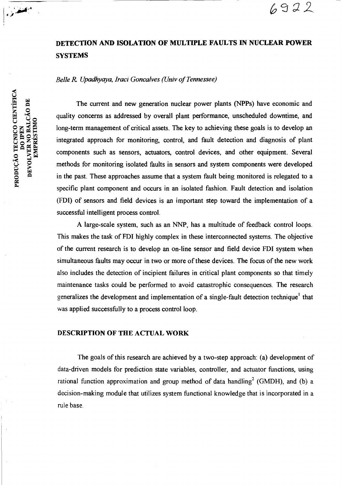### DETECTION AND ISOLATION OF MULTIPLE FAULTS IN NUCLEAR POWER **SYSTEMS**

 $6922$ 

#### *Belle R Upadhyaya, Iraci Goncalves (Univ of Tennessee)*

**PRODUÇÃO TECNICO CIENTÍFICA<br>DO IPEN DEVOLVER NO BALCÃO DE** EMPRÉSTIMO

المجلس والمحاولة

The current and new generation nuclear power plants (NPPs) have economic and quality concerns as addressed by overall plant performance, unscheduled downtime, and long-term management of critical assets. The key to achieving these goals is to develop an integrated approach for monitoring, control, and fault detection and diagnosis of plant components such as sensors, actuators, control devices, and other equipment. Several methods for monitoring isolated faults in sensors and system components were developed in the past. These approaches assume that a system fault being monitored is relegated to a specific plant component and occurs in an isolated fashion. Fault detection and isolation (FDI) of sensors and field devices is an important step toward the implementation of a successful intelligent process control.

A large-scale system, such as an NNP, has a multitude of feedback control loops. This makes the task of FDI highly complex in these interconnected systems. The objective of the current research is to develop an on-line sensor and field device FDI system when simultaneous faults may occur in two or more of these devices. The focus of the new work also includes the detection of incipient failures in critical plant components so that timely maintenance tasks could be performed to avoid catastrophic consequences. The research generalizes the development and implementation of a single-fault detection technique' that was applied successfully to a process control loop.

#### DESCRIPTION OF THE ACTUAL WORK

The goals of this research are achieved by a two-step approach: (a) development of data-driven models for prediction state variables, controller, and actuator functions, using rational function approximation and group method of data handling<sup>2</sup> (GMDH), and (b) a decision-making module that utilizes system functional knowledge that is incorporated in a rule base.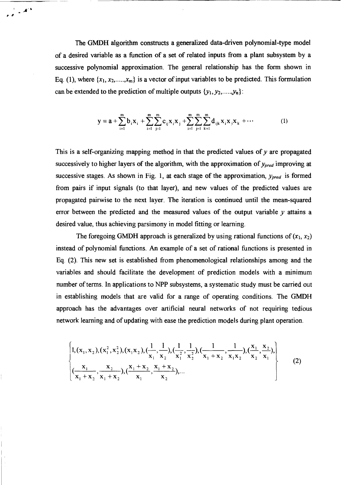The GMDH algorithm constructs a generalized data-driven polynomial-type model of a desired variable as a function of a set of related inputs from a plant subsystem by a successive polynomial approximation. The general relationship has the form shown in Eq. (1), where  $\{x_1, x_2, \ldots, x_m\}$  is a vector of input variables to be predicted. This formulation can be extended to the prediction of multiple outputs  $\{y_1, y_2, \ldots, y_n\}$ :

 $\frac{1}{\sqrt{2}}$  ,  $\frac{1}{\sqrt{2}}$ 

$$
y = a + \sum_{i=1}^{m} b_i x_i + \sum_{i=1}^{m} \sum_{j=1}^{m} c_{ij} x_i x_j + \sum_{i=1}^{m} \sum_{j=1}^{m} \sum_{k=1}^{m} d_{ijk} x_i x_j x_k + \cdots
$$
 (1)

This is a self-organizing mapping method in that the predicted **values of y are propagated**  successively to higher layers of the algorithm, with the approximation **of Ypred improving** at successive stages. As shown in Fig. 1, at each stage of the approximation,  $y_{pred}$  is formed from pairs if input signals (to that layer), and new values of the predicted values are propagated pairwise to the next layer. The iteration is continued until the mean-squared error between the predicted and the measured values of the output variable  $y$  attains a desired value, thus achieving parsimony in model fitting or learning.

The foregoing GMDH approach is generalized by using rational functions of  $(x_1, x_2)$ instead of polynomial functions. An example of a set of rational functions is presented in Eq. (2). This new set is established from phenomenological relationships among and the variables and should facilitate the development of prediction models with a minimum number of terms. In applications to NPP subsystems, a systematic study must be carried out in establishing models that are valid for a range of operating conditions. The GMDH approach has the advantages over artificial neural networks of not requiring tedious network learning and of updating with ease the prediction models during plant operation.

$$
\begin{cases}\n1, (x_1, x_2), (x_1^2, x_2^2), (x_1x_2), \frac{1}{x_1}, \frac{1}{x_2}, \frac{1}{x_1^2}, \frac{1}{x_2^2}), \frac{1}{x_1 + x_2}, \frac{1}{x_1x_2}, \frac{x_1}{x_2}, \frac{x_2}{x_1})\n\end{cases}\n\begin{cases}\n\frac{x_1}{x_1 + x_2}, \frac{x_2}{x_1 + x_2}, \frac{x_1 + x_2}{x_1}, \frac{x_1 + x_2}{x_2}, \dots \\
\frac{x_1}{x_1 + x_2}, \frac{x_2}{x_1 + x_2}, \frac{x_1 + x_2}{x_1}, \frac{x_1 + x_2}{x_2}, \dots\n\end{cases}\n\tag{2}
$$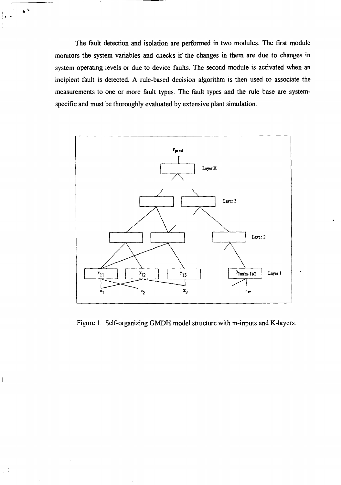The fault detection and isolation are performed in two modules. The first module monitors the system variables and checks if the changes in them are due to changes in system operating levels or due to device faults. The second module is activated when an incipient fault is detected. A rule-based decision algorithm is then used to associate the measurements to one or more fault types. The fault types and the rule base are systemspecific and must be thoroughly evaluated by extensive plant simulation.

 $\bullet$   $\circ$ 



Figure 1. Self-organizing GMDH model structure with m-inputs and K-layers.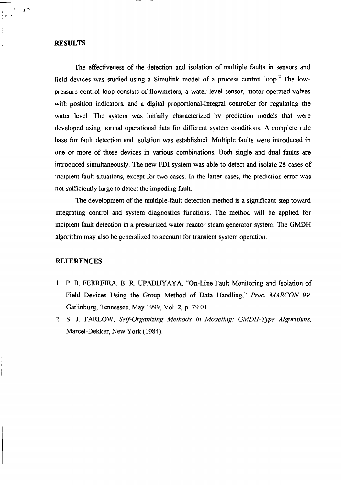#### **RESULTS**

• a

 $\bullet$   $^{\prime\prime}$ 

The effectiveness of the detection and isolation of multiple faults in sensors and field devices was studied using a Simulink model of a process control  $loop.^2$  The lowpressure control loop consists of flowmeters, a water level sensor, motor-operated valves with position indicators, and a digital proportional-integral controller for regulating the water level. The system was initially characterized by prediction models that were developed using normal operational data for different system conditions. A complete rule base for fault detection and isolation was established. Multiple faults were introduced in one or more of these devices in various combinations. Both single and dual faults are introduced simultaneously. The new FDI system was able to detect and isolate 28 cases of incipient fault situations, except for two cases. In the latter cases, the prediction error was not sufficiently large to detect the impeding fault.

The development of the multiple-fault detection method is a significant step toward integrating control and system diagnostics functions. The method will be applied for incipient fault detection in a pressurized water reactor steam generator system. The GMDH algorithm may also be generalized to account for transient system operation.

#### **REFERENCES**

- **P.** B. FERREIRA, B. R. UPADHYAYA, "On-Line Fault Monitoring and Isolation of Field Devices Using the Group Method of Data Handling," *Proc. MARCON 99,*  Gatlinburg, Tennessee, May 1999, Vol. 2, p. 79.01.
- 2. S. J. FARLOW, *Self-Organizing Methods in Modeling: GMDH-Type Algorithms,*  Marcel-Dekker, New York (1984).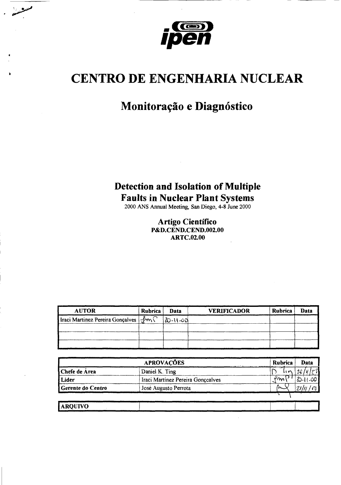

## **CENTRO DE ENGENHARIA NUCLEAR**

## Monitoração e Diagnóstico

# **Detection and Isolation of Multiple** Faults in Nuclear Plant Systems<br>2000 ANS Annual Meeting, San Diego, 4-8 June 2000

**Artigo Científico** P&D.CEND.CEND.002.00 **ARTC.02.00** 

| <b>AUTOR</b>                                      | Rubrica | Data     | <b>VERIFICADOR</b> | <b>Rubrica</b> | Data |
|---------------------------------------------------|---------|----------|--------------------|----------------|------|
| Iraci Martinez Pereira Gonçalves $\exists m \cap$ |         | 20-11-00 |                    |                |      |
|                                                   |         |          |                    |                |      |
|                                                   |         |          |                    |                |      |
|                                                   |         |          |                    |                |      |

|                   | <b>APROVAÇÕES</b>                 | Rubrica | Data |
|-------------------|-----------------------------------|---------|------|
| Chefe de Área     | Daniel K. Ting                    | りい      |      |
| Lider             | Iraci Martinez Pereira Gonçcalves | Ψm.     | 1.00 |
| Gerente do Centro | José Augusto Perrota              |         |      |
|                   |                                   |         |      |
|                   |                                   |         |      |

| <b>ARQUIVO</b> |      |                                     |  |  |
|----------------|------|-------------------------------------|--|--|
| _____          | ---- | the contract of the contract of the |  |  |
|                |      |                                     |  |  |
|                |      |                                     |  |  |